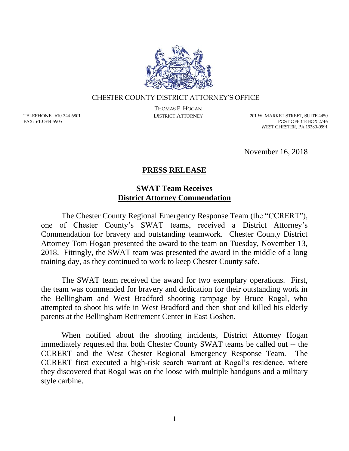

## CHESTER COUNTY DISTRICT ATTORNEY'S OFFICE

TELEPHONE: 610-344-6801 FAX: 610-344-5905

THOMAS P. HOGAN

DISTRICT ATTORNEY 201 W. MARKET STREET, SUITE 4450 POST OFFICE BOX 2746 WEST CHESTER, PA 19380-0991

November 16, 2018

## **PRESS RELEASE**

## **SWAT Team Receives District Attorney Commendation**

The Chester County Regional Emergency Response Team (the "CCRERT"), one of Chester County's SWAT teams, received a District Attorney's Commendation for bravery and outstanding teamwork. Chester County District Attorney Tom Hogan presented the award to the team on Tuesday, November 13, 2018. Fittingly, the SWAT team was presented the award in the middle of a long training day, as they continued to work to keep Chester County safe.

The SWAT team received the award for two exemplary operations. First, the team was commended for bravery and dedication for their outstanding work in the Bellingham and West Bradford shooting rampage by Bruce Rogal, who attempted to shoot his wife in West Bradford and then shot and killed his elderly parents at the Bellingham Retirement Center in East Goshen.

When notified about the shooting incidents, District Attorney Hogan immediately requested that both Chester County SWAT teams be called out -- the CCRERT and the West Chester Regional Emergency Response Team. The CCRERT first executed a high-risk search warrant at Rogal's residence, where they discovered that Rogal was on the loose with multiple handguns and a military style carbine.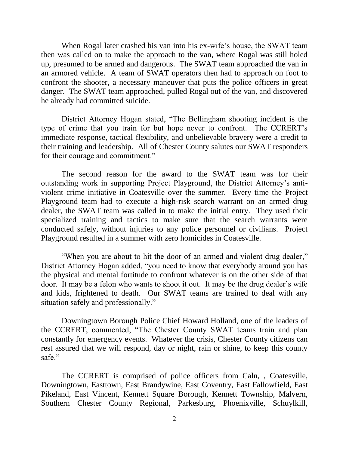When Rogal later crashed his van into his ex-wife's house, the SWAT team then was called on to make the approach to the van, where Rogal was still holed up, presumed to be armed and dangerous. The SWAT team approached the van in an armored vehicle. A team of SWAT operators then had to approach on foot to confront the shooter, a necessary maneuver that puts the police officers in great danger. The SWAT team approached, pulled Rogal out of the van, and discovered he already had committed suicide.

District Attorney Hogan stated, "The Bellingham shooting incident is the type of crime that you train for but hope never to confront. The CCRERT's immediate response, tactical flexibility, and unbelievable bravery were a credit to their training and leadership. All of Chester County salutes our SWAT responders for their courage and commitment."

The second reason for the award to the SWAT team was for their outstanding work in supporting Project Playground, the District Attorney's antiviolent crime initiative in Coatesville over the summer. Every time the Project Playground team had to execute a high-risk search warrant on an armed drug dealer, the SWAT team was called in to make the initial entry. They used their specialized training and tactics to make sure that the search warrants were conducted safely, without injuries to any police personnel or civilians. Project Playground resulted in a summer with zero homicides in Coatesville.

"When you are about to hit the door of an armed and violent drug dealer," District Attorney Hogan added, "you need to know that everybody around you has the physical and mental fortitude to confront whatever is on the other side of that door. It may be a felon who wants to shoot it out. It may be the drug dealer's wife and kids, frightened to death. Our SWAT teams are trained to deal with any situation safely and professionally."

Downingtown Borough Police Chief Howard Holland, one of the leaders of the CCRERT, commented, "The Chester County SWAT teams train and plan constantly for emergency events. Whatever the crisis, Chester County citizens can rest assured that we will respond, day or night, rain or shine, to keep this county safe."

The CCRERT is comprised of police officers from Caln, , Coatesville, Downingtown, Easttown, East Brandywine, East Coventry, East Fallowfield, East Pikeland, East Vincent, Kennett Square Borough, Kennett Township, Malvern, Southern Chester County Regional, Parkesburg, Phoenixville, Schuylkill,